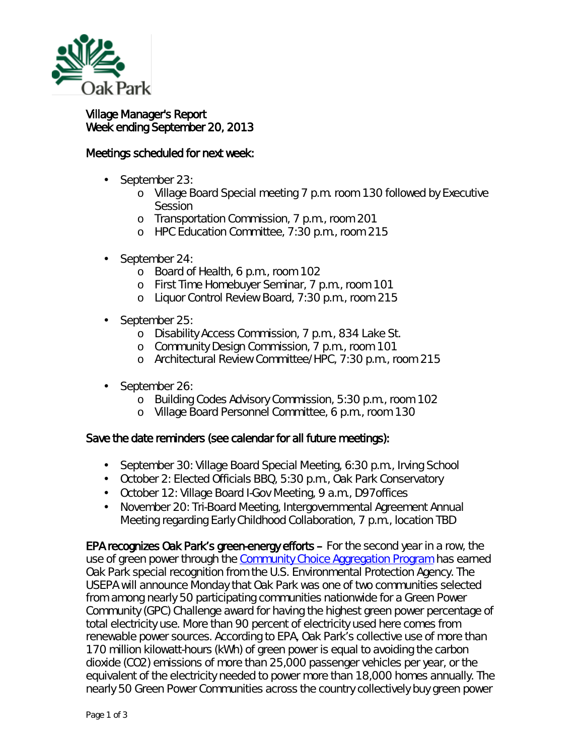

## Village Manager's Report Week ending September 20, 2013

## Meetings scheduled for next week:

- September 23:
	- o Village Board Special meeting 7 p.m. room 130 followed by Executive **Session**
	- o Transportation Commission, 7 p.m., room 201
	- o HPC Education Committee, 7:30 p.m., room 215
- September 24: ä,
	- o Board of Health, 6 p.m., room 102
	- o First Time Homebuyer Seminar, 7 p.m., room 101
	- <sup>o</sup> Liquor Control Review Board, 7:30 p.m., room 215
- September 25:
	- o Disability Access Commission, 7 p.m., 834 Lake St.
	- o Community Design Commission, 7 p.m., room 101
	- o Architectural Review Committee/HPC, 7:30 p.m., room 215
- September 26:
	- o Building Codes Advisory Commission, 5:30 p.m., room 102
	- o Village Board Personnel Committee, 6 p.m., room 130

## Save the date reminders (see calendar for all future meetings):

- $\mathbf{r}$ September 30: Village Board Special Meeting, 6:30 p.m., Irving School
- October 2: Elected Officials BBQ, 5:30 p.m., Oak Park Conservatory
- October 12: Village Board I-Gov Meeting, 9 a.m., D97offices
- November 20: Tri-Board Meeting, Intergovernmental Agreement Annual  $\mathcal{L}^{\text{max}}$ Meeting regarding Early Childhood Collaboration, 7 p.m., location TBD

EPA recognizes Oak Park's green-energy efforts – For the second year in a row, the use of green power through the [Community Choice Aggregation Program](http://www.oak-park.us/your-government/environmental-initiatives/community-choice-aggregation) has earned Oak Park special recognition from the U.S. Environmental Protection Agency. The USEPA will announce Monday that Oak Park was one of two communities selected from among nearly 50 participating communities nationwide for a Green Power Community (GPC) Challenge award for having the highest green power percentage of total electricity use. More than 90 percent of electricity used here comes from renewable power sources. According to EPA, Oak Park's collective use of more than 170 million kilowatt-hours (kWh) of green power is equal to avoiding the carbon dioxide (CO2) emissions of more than 25,000 passenger vehicles per year, or the equivalent of the electricity needed to power more than 18,000 homes annually. The nearly 50 Green Power Communities across the country collectively buy green power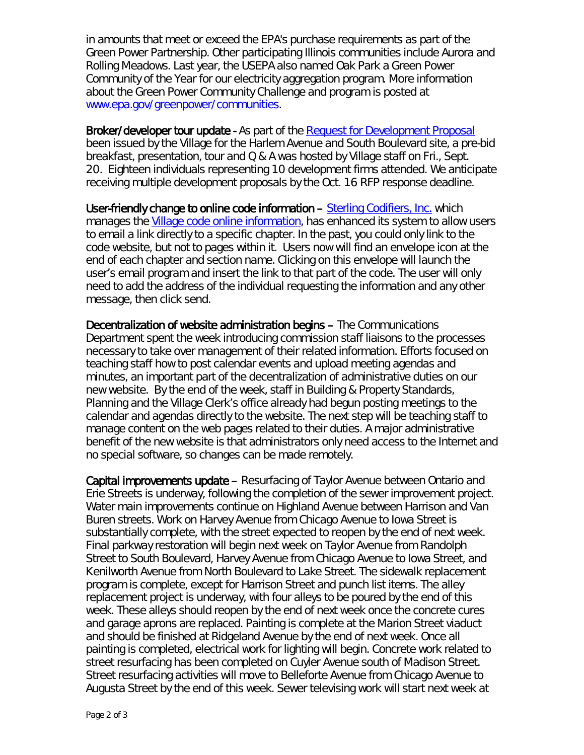in amounts that meet or exceed the EPA's purchase requirements as part of the Green Power Partnership. Other participating Illinois communities include Aurora and Rolling Meadows. Last year, the USEPA also named Oak Park a *Green Power Community of the Year* for our electricity aggregation program. More information about the Green Power Community Challenge and program is posted at [www.epa.gov/greenpower/communities.](http://www.epa.gov/greenpower/communities)

Broker/developer tour update - As part of the *[Request for Development Proposal](http://www.oak-park.us/village-services/business-support/proposals-sought-key-downtown-site)* been issued by the Village for the Harlem Avenue and South Boulevard site, a pre-bid breakfast, presentation, tour and Q & A was hosted by Village staff on Fri., Sept. 20. Eighteen individuals representing 10 development firms attended. We anticipate receiving multiple development proposals by the Oct. 16 RFP response deadline.

User-friendly change to online code information – [Sterling Codifiers,](http://www.sterlingcodifiers.com/) Inc. which manages the [Village code online information,](http://www.sterlingcodifiers.com/codebook/index.php?book_id=459) has enhanced its system to allow users to email a link directly to a specific chapter. In the past, you could only link to the code website, but not to pages within it. Users now will find an envelope icon at the end of each chapter and section name. Clicking on this envelope will launch the user's email program and insert the link to that part of the code. The user will only need to add the address of the individual requesting the information and any other message, then click send.

Decentralization of website administration begins – The Communications Department spent the week introducing commission staff liaisons to the processes necessary to take over management of their related information. Efforts focused on teaching staff how to post calendar events and upload meeting agendas and minutes, an important part of the decentralization of administrative duties on our new website. By the end of the week, staff in Building & Property Standards, Planning and the Village Clerk's office already had begun posting meetings to the calendar and agendas directly to the website. The next step will be teaching staff to manage content on the web pages related to their duties. A major administrative benefit of the new website is that administrators only need access to the Internet and no special software, so changes can be made remotely.

Capital improvements update – Resurfacing of Taylor Avenue between Ontario and Erie Streets is underway, following the completion of the sewer improvement project. Water main improvements continue on Highland Avenue between Harrison and Van Buren streets. Work on Harvey Avenue from Chicago Avenue to Iowa Street is substantially complete, with the street expected to reopen by the end of next week. Final parkway restoration will begin next week on Taylor Avenue from Randolph Street to South Boulevard, Harvey Avenue from Chicago Avenue to Iowa Street, and Kenilworth Avenue from North Boulevard to Lake Street. The sidewalk replacement program is complete, except for Harrison Street and punch list items. The alley replacement project is underway, with four alleys to be poured by the end of this week. These alleys should reopen by the end of next week once the concrete cures and garage aprons are replaced. Painting is complete at the Marion Street viaduct and should be finished at Ridgeland Avenue by the end of next week. Once all painting is completed, electrical work for lighting will begin. Concrete work related to street resurfacing has been completed on Cuyler Avenue south of Madison Street. Street resurfacing activities will move to Belleforte Avenue from Chicago Avenue to Augusta Street by the end of this week. Sewer televising work will start next week at